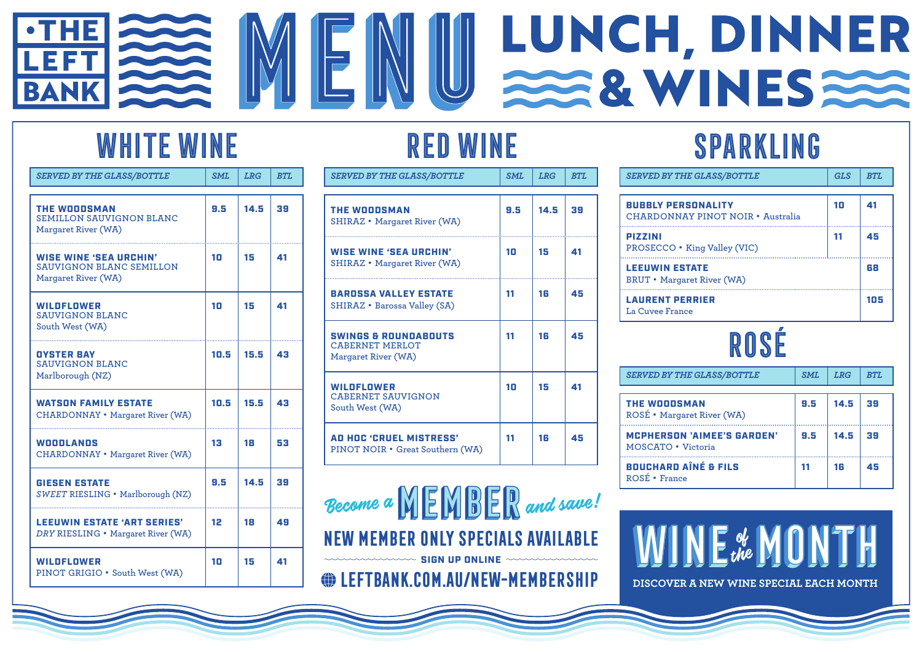#### LUNCH, DINNER •THE EFT 228 WINES **BANK**

### WHITE WINE

| <b>SERVED BY THE GLASS/BOTTLE</b>                                                       | <b>SML</b> | <b>LRG</b> | <b>BTL</b> |
|-----------------------------------------------------------------------------------------|------------|------------|------------|
| <b>THE WOODSMAN</b><br><b>SEMILLON SAUVIGNON BLANC</b><br>Margaret River (WA)           | 9.5        | 14.5       | 39         |
| <b>WISE WINE 'SEA URCHIN'</b><br><b>SAUVIGNON BLANC SEMILLON</b><br>Margaret River (WA) | 10         | 15         | 41         |
| <b>WILDFLOWER</b><br><b>SAUVIGNON BLANC</b><br>South West (WA)                          | 10         | 15         | 41         |
| <b>OYSTER BAY</b><br><b>SAUVIGNON BLANC</b><br>Marlborough (NZ)                         | 10.5       | 15.5       | 43         |
| <b>WATSON FAMILY ESTATE</b><br><b>CHARDONNAY</b> • Margaret River (WA)                  | 10.5       | 15.5       | 43         |
| <b>WOODLANDS</b><br><b>CHARDONNAY</b> • Margaret River (WA)                             | 13         | 18         | 53         |
| <b>GIESEN ESTATE</b><br>SWEET RIESLING · Marlborough (NZ)                               | 9.5        | 14.5       | 39         |
| <b>LEEUWIN ESTATE 'ART SERIES'</b><br>DRY RIESLING • Margaret River (WA)                | 12         | 18         | 49         |
| <b>WILDFLOWER</b><br>PINOT GRIGIO . South West (WA)                                     | 10         | 15         | 41         |

## RED WINE

| <b>SERVED BY THE GLASS/BOTTLE</b>                                                | SML | <b>LRG</b> | <b>BTL</b> |
|----------------------------------------------------------------------------------|-----|------------|------------|
| <b>THE WOODSMAN</b><br><b>SHIRAZ</b> • Margaret River (WA)                       | 9.5 | 14.5       | 39         |
| <b>WISE WINE 'SEA URCHIN'</b><br><b>SHIRAZ</b> • Margaret River (WA)             | 10  | 15         | 41         |
| <b>BARDSSA VALLEY ESTATE</b><br><b>SHIRAZ</b> • Barossa Valley (SA)              | 11  | 16         | 45         |
| <b>SWINGS &amp; ROUNDABOUTS</b><br><b>CABERNET MERLOT</b><br>Margaret River (WA) | 11  | 16         | 45         |
| <b>WILDFLOWER</b><br><b>CABERNET SAUVIGNON</b><br>South West (WA)                | 10  | 15         | 41         |
| <b>AD HOC 'CRUEL MISTRESS'</b><br>PINOT NOIR • Great Southern (WA)               | 11  | 16         | 45         |

**NEW MEMBER ONLY SPECIALS AVAILABLE** Become a**MEMBER**and save!

**leftbank.com.au/new-membership**

# SPARKLING

| <b>SERVED BY THE GLASS/BOTTLE</b>                              | <b>GLS</b> | <b>BTL</b> |
|----------------------------------------------------------------|------------|------------|
| <b>BUBBLY PERSONALITY</b><br>CHARDONNAY PINOT NOIR • Australia | 10         | 41         |
| <b>PIZZINI</b><br>PROSECCO • King Valley (VIC)                 | 11         | 45         |
| <b>LEEUWIN ESTATE</b><br><b>BRUT</b> • Margaret River (WA)     |            | 68         |
| <b>LAURENT PERRIER</b><br>La Cuvee France                      |            | 105        |

# ROSÉ

| <b>SERVED BY THE GLASS/BOTTLE</b>                       | <b>SML</b> | <b>LRG</b> | <b>BTL</b> |
|---------------------------------------------------------|------------|------------|------------|
| <b>THE WOODSMAN</b><br>ROSÉ • Margaret River (WA)       | 9.5        | 14.5       | 39         |
| <b>MCPHERSON 'AIMEE'S GARDEN'</b><br>MOSCATO • Victoria | 9.5        | 14.5       | 39         |
| <b>BOUCHARD AINÉ &amp; FILS</b><br>ROSÉ • France        | 11         | 16         | 45         |



**DISCOVER A NEW WINE SPECIAL EACH MONTH**